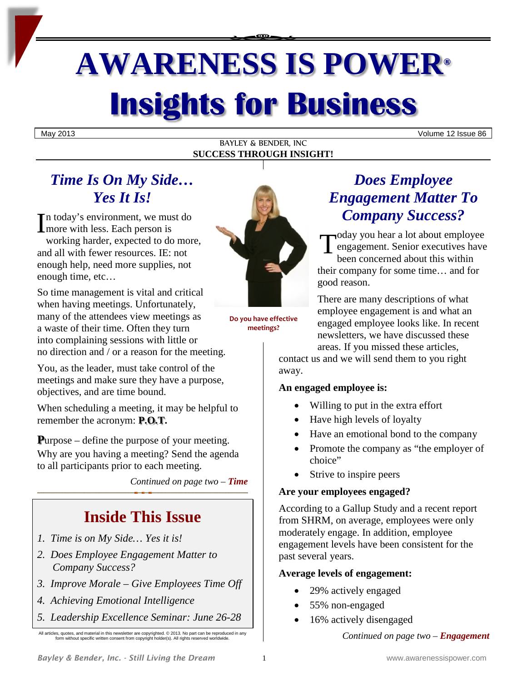# **AWARENESS IS POWER® Insights for Business**

May 2013 Volume 12 Issue 86

BAYLEY & BENDER, INC **SUCCESS THROUGH INSIGHT!**

# *Time Is On My Side… Yes It Is!*

n today's environment, we must do  $\prod$ n today's environment, we mus<br>
more with less. Each person is working harder, expected to do more, and all with fewer resources. IE: not enough help, need more supplies, not enough time, etc…

So time management is vital and critical when having meetings. Unfortunately, many of the attendees view meetings as a waste of their time. Often they turn into complaining sessions with little or no direction and / or a reason for the meeting.

You, as the leader, must take control of the meetings and make sure they have a purpose, objectives, and are time bound.

When scheduling a meeting, it may be helpful to remember the acronym: **P.O.T.**

**P**urpose – define the purpose of your meeting. Why are you having a meeting? Send the agenda to all participants prior to each meeting.

*Continued on page two – Time*

# **Inside This Issue**

- *1. Time is on My Side… Yes it is!*
- *2. Does Employee Engagement Matter to Company Success?*
- *3. Improve Morale – Give Employees Time Off*
- *4. Achieving Emotional Intelligence*
- *5. Leadership Excellence Seminar: June 26-28*

All articles, quotes, and material in this newsletter are copyrighted. © 2013. No part can be reproduced in any form without specific written consent from copyright holder(s). All rights reserved worldwide.



**Do you have effective meetings?**

# *Does Employee Engagement Matter To Company Success?*

oday you hear a lot about employee engagement. Senior executives have been concerned about this within their company for some time… and for good reason. T

There are many descriptions of what employee engagement is and what an engaged employee looks like. In recent newsletters, we have discussed these areas. If you missed these articles,

contact us and we will send them to you right away.

## **An engaged employee is:**

- Willing to put in the extra effort
- Have high levels of loyalty
- Have an emotional bond to the company
- Promote the company as "the employer of choice"
- Strive to inspire peers

## **Are your employees engaged?**

According to a Gallup Study and a recent report from SHRM, on average, employees were only moderately engage. In addition, employee engagement levels have been consistent for the past several years.

## **Average levels of engagement:**

- 29% actively engaged
- 55% non-engaged
- 16% actively disengaged

*Continued on page two – Engagement*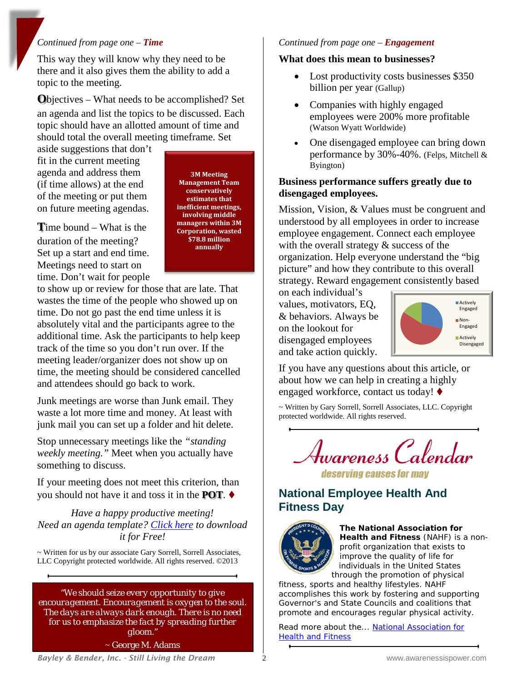#### *Continued from page one – Time*

This way they will know why they need to be there and it also gives them the ability to add a topic to the meeting.

**O**bjectives – What needs to be accomplished? Set an agenda and list the topics to be discussed. Each topic should have an allotted amount of time and should total the overall meeting timeframe. Set

aside suggestions that don't fit in the current meeting agenda and address them (if time allows) at the end of the meeting or put them on future meeting agendas.

**T**ime bound – What is the duration of the meeting? Set up a start and end time. Meetings need to start on time. Don't wait for people

**3M Meeting Management Team conservatively estimates that inefficient meetings, involving middle managers within 3M Corporation, wasted \$78.8 million annually**

to show up or review for those that are late. That wastes the time of the people who showed up on time. Do not go past the end time unless it is absolutely vital and the participants agree to the additional time. Ask the participants to help keep track of the time so you don't run over. If the meeting leader/organizer does not show up on time, the meeting should be considered cancelled and attendees should go back to work.

Junk meetings are worse than Junk email. They waste a lot more time and money. At least with junk mail you can set up a folder and hit delete.

Stop unnecessary meetings like the *"standing weekly meeting."* Meet when you actually have something to discuss.

If your meeting does not meet this criterion, than you should not have it and toss it in the **POT**.

*Have a happy productive meeting! Need an agenda template? [Click here](http://www.strategicplanningsuccess.com/images/newsletter_pics/MeetingAgenda-2013.pdf) to download it for Free!*

~ Written for us by our associate Gary Sorrell, Sorrell Associates, LLC Copyright protected worldwide. All rights reserved. ©2013

*"We should seize every opportunity to give encouragement. Encouragement is oxygen to the soul. The days are always dark enough. There is no need for us to emphasize the fact by spreading further gloom."*

~ George M. Adams

#### *Continued from page one – Engagement*

#### **What does this mean to businesses?**

- Lost productivity costs businesses \$350 billion per year (Gallup)
- Companies with highly engaged employees were 200% more profitable (Watson Wyatt Worldwide)
- One disengaged employee can bring down performance by 30%-40%. (Felps, Mitchell & Byington)

#### **Business performance suffers greatly due to disengaged employees.**

Mission, Vision, & Values must be congruent and understood by all employees in order to increase employee engagement. Connect each employee with the overall strategy  $&$  success of the organization. Help everyone understand the "big picture" and how they contribute to this overall strategy. Reward engagement consistently based

on each individual's values, motivators, EQ, & behaviors. Always be on the lookout for disengaged employees and take action quickly.



If you have any questions about this article, or about how we can help in creating a highly engaged workforce, contact us today!

~ Written by Gary Sorrell, Sorrell Associates, LLC. Copyright protected worldwide. All rights reserved.

Awareness Calendar deserving causes for may

## **National Employee Health And Fitness Day**



**The National Association for Health and Fitness** (NAHF) is a nonprofit organization that exists to improve the quality of life for individuals in the United States [t](http://www.fitness.gov/)hrough the promotion of physical

fitness, sports and healthy lifestyles. NAHF accomplishes this work by fostering and supporting Governor's and State Councils and coalitions that promote and encourages regular physical activity.

Read more about the... [National Association for](http://www.physicalfitness.org/)  **[Health and Fitness](http://www.physicalfitness.org/)**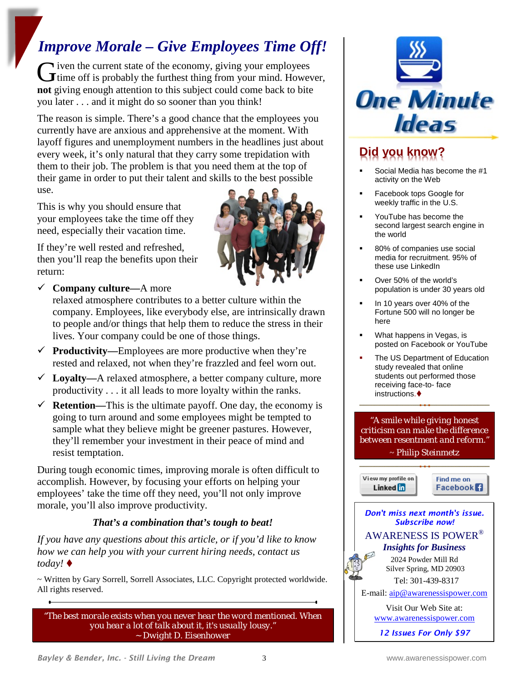# *Improve Morale – Give Employees Time Off!*

 $\blacktriangleright$  iven the current state of the economy, giving your employees Given the current state of the economy, giving your employees<br>
Gime off is probably the furthest thing from your mind. However, **not** giving enough attention to this subject could come back to bite you later . . . and it might do so sooner than you think!

The reason is simple. There's a good chance that the employees you currently have are anxious and apprehensive at the moment. With layoff figures and unemployment numbers in the headlines just about every week, it's only natural that they carry some trepidation with them to their job. The problem is that you need them at the top of their game in order to put their talent and skills to the best possible use.

This is why you should ensure that your employees take the time off they need, especially their vacation time.

If they're well rested and refreshed, then you'll reap the benefits upon their return:



**Company culture—**A more

relaxed atmosphere contributes to a better culture within the company. Employees, like everybody else, are intrinsically drawn to people and/or things that help them to reduce the stress in their lives. Your company could be one of those things.

- $\checkmark$  **Productivity—**Employees are more productive when they're rested and relaxed, not when they're frazzled and feel worn out.
- **Loyalty—**A relaxed atmosphere, a better company culture, more productivity . . . it all leads to more loyalty within the ranks.
- $\checkmark$  **Retention—**This is the ultimate payoff. One day, the economy is going to turn around and some employees might be tempted to sample what they believe might be greener pastures. However, they'll remember your investment in their peace of mind and resist temptation.

During tough economic times, improving morale is often difficult to accomplish. However, by focusing your efforts on helping your employees' take the time off they need, you'll not only improve morale, you'll also improve productivity.

## *That's a combination that's tough to beat!*

*If you have any questions about this article, or if you'd like to know how we can help you with your current hiring needs, contact us today!*

~ Written by Gary Sorrell, Sorrell Associates, LLC. Copyright protected worldwide. All rights reserved.

*"The best morale exists when you never hear the word mentioned. When you hear a lot of talk about it, it's usually lousy." ~ Dwight D. Eisenhower*



# **Did you know?**

- Social Media has become the #1 activity on the Web
- Facebook tops Google for weekly traffic in the U.S.
- YouTube has become the second largest search engine in the world
- 80% of companies use social media for recruitment. 95% of these use LinkedIn
- Over 50% of the world's population is under 30 years old
- In 10 years over 40% of the Fortune 500 will no longer be here
- What happens in Vegas, is posted on Facebook or YouTube
- The US Department of Education study revealed that online students out performed those receiving face-to- face instructions.

*"A smile while giving honest criticism can make the difference between resentment and reform."* ~ *Philip Steinmetz*